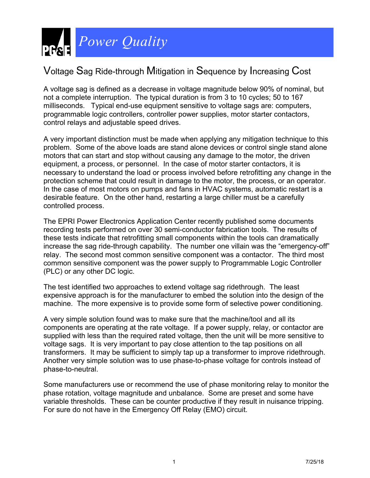

## Voltage Sag Ride-through Mitigation in Sequence by Increasing Cost

A voltage sag is defined as a decrease in voltage magnitude below 90% of nominal, but not a complete interruption. The typical duration is from 3 to 10 cycles; 50 to 167 milliseconds. Typical end-use equipment sensitive to voltage sags are: computers, programmable logic controllers, controller power supplies, motor starter contactors, control relays and adjustable speed drives.

A very important distinction must be made when applying any mitigation technique to this problem. Some of the above loads are stand alone devices or control single stand alone motors that can start and stop without causing any damage to the motor, the driven equipment, a process, or personnel. In the case of motor starter contactors, it is necessary to understand the load or process involved before retrofitting any change in the protection scheme that could result in damage to the motor, the process, or an operator. In the case of most motors on pumps and fans in HVAC systems, automatic restart is a desirable feature. On the other hand, restarting a large chiller must be a carefully controlled process.

The EPRI Power Electronics Application Center recently published some documents recording tests performed on over 30 semi-conductor fabrication tools. The results of these tests indicate that retrofitting small components within the tools can dramatically increase the sag ride-through capability. The number one villain was the "emergency-off" relay. The second most common sensitive component was a contactor. The third most common sensitive component was the power supply to Programmable Logic Controller (PLC) or any other DC logic.

The test identified two approaches to extend voltage sag ridethrough. The least expensive approach is for the manufacturer to embed the solution into the design of the machine. The more expensive is to provide some form of selective power conditioning.

A very simple solution found was to make sure that the machine/tool and all its components are operating at the rate voltage. If a power supply, relay, or contactor are supplied with less than the required rated voltage, then the unit will be more sensitive to voltage sags. It is very important to pay close attention to the tap positions on all transformers. It may be sufficient to simply tap up a transformer to improve ridethrough. Another very simple solution was to use phase-to-phase voltage for controls instead of phase-to-neutral.

Some manufacturers use or recommend the use of phase monitoring relay to monitor the phase rotation, voltage magnitude and unbalance. Some are preset and some have variable thresholds. These can be counter productive if they result in nuisance tripping. For sure do not have in the Emergency Off Relay (EMO) circuit.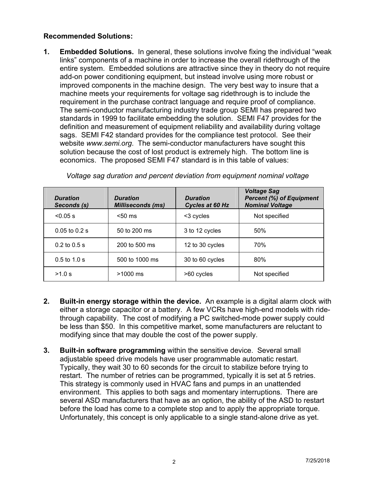## **Recommended Solutions:**

**1. Embedded Solutions.** In general, these solutions involve fixing the individual "weak links" components of a machine in order to increase the overall ridethrough of the entire system. Embedded solutions are attractive since they in theory do not require add-on power conditioning equipment, but instead involve using more robust or improved components in the machine design. The very best way to insure that a machine meets your requirements for voltage sag ridethrough is to include the requirement in the purchase contract language and require proof of compliance. The semi-conductor manufacturing industry trade group SEMI has prepared two standards in 1999 to facilitate embedding the solution. SEMI F47 provides for the definition and measurement of equipment reliability and availability during voltage sags. SEMI F42 standard provides for the compliance test protocol. See their website *www.semi.org*. The semi-conductor manufacturers have sought this solution because the cost of lost product is extremely high. The bottom line is economics. The proposed SEMI F47 standard is in this table of values:

| <b>Duration</b><br>Seconds (s) | <b>Duration</b><br><b>Milliseconds (ms)</b> | <b>Duration</b><br>Cycles at 60 Hz | <b>Voltage Sag</b><br><b>Percent (%) of Equipment</b><br><b>Nominal Voltage</b> |
|--------------------------------|---------------------------------------------|------------------------------------|---------------------------------------------------------------------------------|
| $< 0.05$ s                     | $< 50 \text{ ms}$                           | <3 cycles                          | Not specified                                                                   |
| $0.05$ to $0.2$ s              | 50 to 200 ms                                | 3 to 12 cycles                     | 50%                                                                             |
| $0.2$ to $0.5$ s               | 200 to 500 ms                               | 12 to 30 cycles                    | 70%                                                                             |
| $0.5$ to $1.0$ s               | 500 to 1000 ms                              | 30 to 60 cycles                    | 80%                                                                             |
| >1.0 s                         | $>1000$ ms                                  | >60 cycles                         | Not specified                                                                   |

*Voltage sag duration and percent deviation from equipment nominal voltage* 

- **2. Built-in energy storage within the device.** An example is a digital alarm clock with either a storage capacitor or a battery. A few VCRs have high-end models with ridethrough capability. The cost of modifying a PC switched-mode power supply could be less than \$50. In this competitive market, some manufacturers are reluctant to modifying since that may double the cost of the power supply.
- **3. Built-in software programming** within the sensitive device. Several small adjustable speed drive models have user programmable automatic restart. Typically, they wait 30 to 60 seconds for the circuit to stabilize before trying to restart. The number of retries can be programmed, typically it is set at 5 retries. This strategy is commonly used in HVAC fans and pumps in an unattended environment. This applies to both sags and momentary interruptions. There are several ASD manufacturers that have as an option, the ability of the ASD to restart before the load has come to a complete stop and to apply the appropriate torque. Unfortunately, this concept is only applicable to a single stand-alone drive as yet.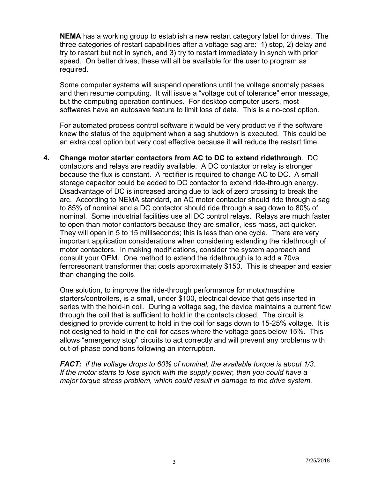**NEMA** has a working group to establish a new restart category label for drives. The three categories of restart capabilities after a voltage sag are: 1) stop, 2) delay and try to restart but not in synch, and 3) try to restart immediately in synch with prior speed. On better drives, these will all be available for the user to program as required.

Some computer systems will suspend operations until the voltage anomaly passes and then resume computing. It will issue a "voltage out of tolerance" error message, but the computing operation continues. For desktop computer users, most softwares have an autosave feature to limit loss of data. This is a no-cost option.

For automated process control software it would be very productive if the software knew the status of the equipment when a sag shutdown is executed. This could be an extra cost option but very cost effective because it will reduce the restart time.

**4. Change motor starter contactors from AC to DC to extend ridethrough**. DC contactors and relays are readily available. A DC contactor or relay is stronger because the flux is constant. A rectifier is required to change AC to DC. A small storage capacitor could be added to DC contactor to extend ride-through energy. Disadvantage of DC is increased arcing due to lack of zero crossing to break the arc. According to NEMA standard, an AC motor contactor should ride through a sag to 85% of nominal and a DC contactor should ride through a sag down to 80% of nominal. Some industrial facilities use all DC control relays. Relays are much faster to open than motor contactors because they are smaller, less mass, act quicker. They will open in 5 to 15 milliseconds; this is less than one cycle. There are very important application considerations when considering extending the ridethrough of motor contactors. In making modifications, consider the system approach and consult your OEM. One method to extend the ridethrough is to add a 70va ferroresonant transformer that costs approximately \$150. This is cheaper and easier than changing the coils.

One solution, to improve the ride-through performance for motor/machine starters/controllers, is a small, under \$100, electrical device that gets inserted in series with the hold-in coil. During a voltage sag, the device maintains a current flow through the coil that is sufficient to hold in the contacts closed. The circuit is designed to provide current to hold in the coil for sags down to 15-25% voltage. It is not designed to hold in the coil for cases where the voltage goes below 15%. This allows "emergency stop" circuits to act correctly and will prevent any problems with out-of-phase conditions following an interruption.

*FACT: if the voltage drops to 60% of nominal, the available torque is about 1/3. If the motor starts to lose synch with the supply power, then you could have a major torque stress problem, which could result in damage to the drive system.*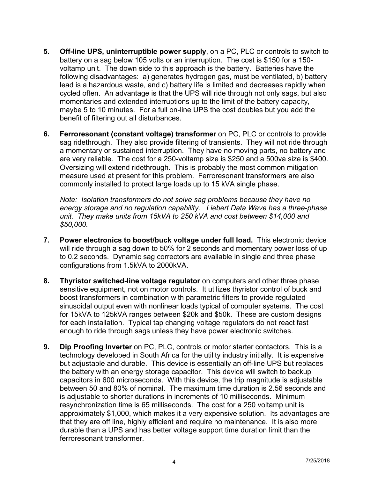- **5. Off-line UPS, uninterruptible power supply**, on a PC, PLC or controls to switch to battery on a sag below 105 volts or an interruption. The cost is \$150 for a 150 voltamp unit. The down side to this approach is the battery. Batteries have the following disadvantages: a) generates hydrogen gas, must be ventilated, b) battery lead is a hazardous waste, and c) battery life is limited and decreases rapidly when cycled often. An advantage is that the UPS will ride through not only sags, but also momentaries and extended interruptions up to the limit of the battery capacity, maybe 5 to 10 minutes. For a full on-line UPS the cost doubles but you add the benefit of filtering out all disturbances.
- **6. Ferroresonant (constant voltage) transformer** on PC, PLC or controls to provide sag ridethrough. They also provide filtering of transients. They will not ride through a momentary or sustained interruption. They have no moving parts, no battery and are very reliable. The cost for a 250-voltamp size is \$250 and a 500va size is \$400. Oversizing will extend ridethrough. This is probably the most common mitigation measure used at present for this problem. Ferroresonant transformers are also commonly installed to protect large loads up to 15 kVA single phase.

*Note: Isolation transformers do not solve sag problems because they have no energy storage and no regulation capability. Liebert Data Wave has a three-phase unit. They make units from 15kVA to 250 kVA and cost between \$14,000 and \$50,000.*

- **7. Power electronics to boost/buck voltage under full load.** This electronic device will ride through a sag down to 50% for 2 seconds and momentary power loss of up to 0.2 seconds. Dynamic sag correctors are available in single and three phase configurations from 1.5kVA to 2000kVA.
- **8. Thyristor switched-line voltage regulator** on computers and other three phase sensitive equipment, not on motor controls. It utilizes thyristor control of buck and boost transformers in combination with parametric filters to provide regulated sinusoidal output even with nonlinear loads typical of computer systems. The cost for 15kVA to 125kVA ranges between \$20k and \$50k. These are custom designs for each installation. Typical tap changing voltage regulators do not react fast enough to ride through sags unless they have power electronic switches.
- **9. Dip Proofing Inverter** on PC, PLC, controls or motor starter contactors. This is a technology developed in South Africa for the utility industry initially. It is expensive but adjustable and durable. This device is essentially an off-line UPS but replaces the battery with an energy storage capacitor. This device will switch to backup capacitors in 600 microseconds. With this device, the trip magnitude is adjustable between 50 and 80% of nominal. The maximum time duration is 2.56 seconds and is adjustable to shorter durations in increments of 10 milliseconds. Minimum resynchronization time is 65 milliseconds. The cost for a 250 voltamp unit is approximately \$1,000, which makes it a very expensive solution. Its advantages are that they are off line, highly efficient and require no maintenance. It is also more durable than a UPS and has better voltage support time duration limit than the ferroresonant transformer.